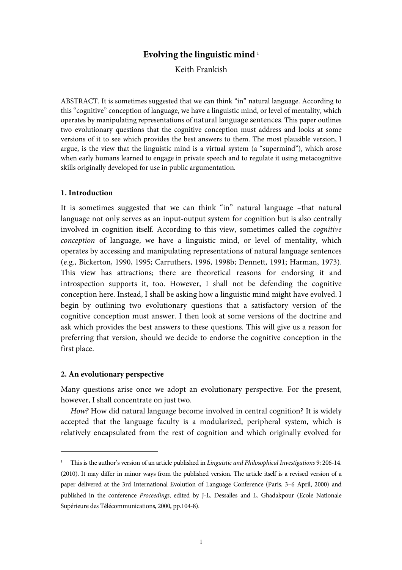# **Evolving the linguistic mind** <sup>1</sup>

# Keith Frankish

ABSTRACT. It is sometimes suggested that we can think "in" natural language. According to this "cognitive" conception of language, we have a linguistic mind, or level of mentality, which operates by manipulating representations of natural language sentences. This paper outlines two evolutionary questions that the cognitive conception must address and looks at some versions of it to see which provides the best answers to them. The most plausible version, I argue, is the view that the linguistic mind is a virtual system (a "supermind"), which arose when early humans learned to engage in private speech and to regulate it using metacognitive skills originally developed for use in public argumentation.

## **1. Introduction**

It is sometimes suggested that we can think "in" natural language –that natural language not only serves as an input-output system for cognition but is also centrally involved in cognition itself. According to this view, sometimes called the cognitive conception of language, we have a linguistic mind, or level of mentality, which operates by accessing and manipulating representations of natural language sentences (e.g., Bickerton, 1990, 1995; Carruthers, 1996, 1998b; Dennett, 1991; Harman, 1973). This view has attractions; there are theoretical reasons for endorsing it and introspection supports it, too. However, I shall not be defending the cognitive conception here. Instead, I shall be asking how a linguistic mind might have evolved. I begin by outlining two evolutionary questions that a satisfactory version of the cognitive conception must answer. I then look at some versions of the doctrine and ask which provides the best answers to these questions. This will give us a reason for preferring that version, should we decide to endorse the cognitive conception in the first place.

## **2. An evolutionary perspective**

 $\overline{a}$ 

Many questions arise once we adopt an evolutionary perspective. For the present, however, I shall concentrate on just two.

How? How did natural language become involved in central cognition? It is widely accepted that the language faculty is a modularized, peripheral system, which is relatively encapsulated from the rest of cognition and which originally evolved for

<sup>&</sup>lt;sup>1</sup> This is the author's version of an article published in Linguistic and Philosophical Investigations 9: 206-14. (2010). It may differ in minor ways from the published version. The article itself is a revised version of a paper delivered at the 3rd International Evolution of Language Conference (Paris, 3–6 April, 2000) and published in the conference Proceedings, edited by J-L. Dessalles and L. Ghadakpour (Ecole Nationale Supérieure des Télécommunications, 2000, pp.104-8).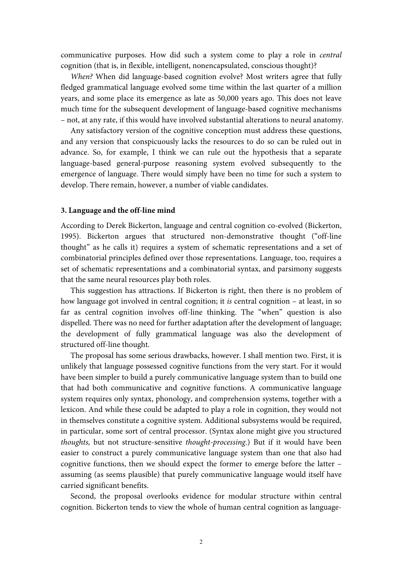communicative purposes. How did such a system come to play a role in central cognition (that is, in flexible, intelligent, nonencapsulated, conscious thought)?

 When? When did language-based cognition evolve? Most writers agree that fully fledged grammatical language evolved some time within the last quarter of a million years, and some place its emergence as late as 50,000 years ago. This does not leave much time for the subsequent development of language-based cognitive mechanisms – not, at any rate, if this would have involved substantial alterations to neural anatomy.

 Any satisfactory version of the cognitive conception must address these questions, and any version that conspicuously lacks the resources to do so can be ruled out in advance. So, for example, I think we can rule out the hypothesis that a separate language-based general-purpose reasoning system evolved subsequently to the emergence of language. There would simply have been no time for such a system to develop. There remain, however, a number of viable candidates.

#### **3. Language and the off-line mind**

According to Derek Bickerton, language and central cognition co-evolved (Bickerton, 1995). Bickerton argues that structured non-demonstrative thought ("off-line thought" as he calls it) requires a system of schematic representations and a set of combinatorial principles defined over those representations. Language, too, requires a set of schematic representations and a combinatorial syntax, and parsimony suggests that the same neural resources play both roles.

 This suggestion has attractions. If Bickerton is right, then there is no problem of how language got involved in central cognition; it *is* central cognition – at least, in so far as central cognition involves off-line thinking. The "when" question is also dispelled. There was no need for further adaptation after the development of language; the development of fully grammatical language was also the development of structured off-line thought.

 The proposal has some serious drawbacks, however. I shall mention two. First, it is unlikely that language possessed cognitive functions from the very start. For it would have been simpler to build a purely communicative language system than to build one that had both communicative and cognitive functions. A communicative language system requires only syntax, phonology, and comprehension systems, together with a lexicon. And while these could be adapted to play a role in cognition, they would not in themselves constitute a cognitive system. Additional subsystems would be required, in particular, some sort of central processor. (Syntax alone might give you structured thoughts, but not structure-sensitive thought-processing.) But if it would have been easier to construct a purely communicative language system than one that also had cognitive functions, then we should expect the former to emerge before the latter – assuming (as seems plausible) that purely communicative language would itself have carried significant benefits.

 Second, the proposal overlooks evidence for modular structure within central cognition. Bickerton tends to view the whole of human central cognition as language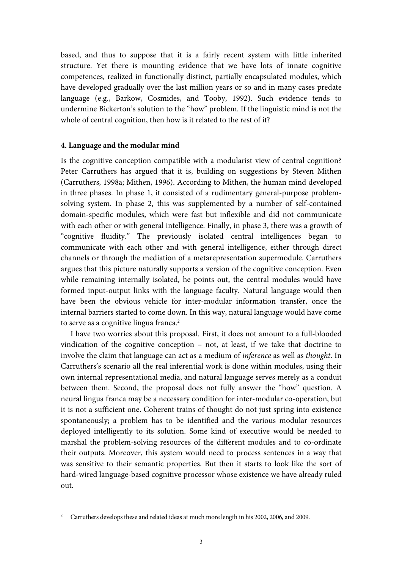based, and thus to suppose that it is a fairly recent system with little inherited structure. Yet there is mounting evidence that we have lots of innate cognitive competences, realized in functionally distinct, partially encapsulated modules, which have developed gradually over the last million years or so and in many cases predate language (e.g., Barkow, Cosmides, and Tooby, 1992). Such evidence tends to undermine Bickerton's solution to the "how" problem. If the linguistic mind is not the whole of central cognition, then how is it related to the rest of it?

## **4. Language and the modular mind**

Is the cognitive conception compatible with a modularist view of central cognition? Peter Carruthers has argued that it is, building on suggestions by Steven Mithen (Carruthers, 1998a; Mithen, 1996). According to Mithen, the human mind developed in three phases. In phase 1, it consisted of a rudimentary general-purpose problemsolving system. In phase 2, this was supplemented by a number of self-contained domain-specific modules, which were fast but inflexible and did not communicate with each other or with general intelligence. Finally, in phase 3, there was a growth of "cognitive fluidity." The previously isolated central intelligences began to communicate with each other and with general intelligence, either through direct channels or through the mediation of a metarepresentation supermodule. Carruthers argues that this picture naturally supports a version of the cognitive conception. Even while remaining internally isolated, he points out, the central modules would have formed input-output links with the language faculty. Natural language would then have been the obvious vehicle for inter-modular information transfer, once the internal barriers started to come down. In this way, natural language would have come to serve as a cognitive lingua franca.<sup>2</sup>

 I have two worries about this proposal. First, it does not amount to a full-blooded vindication of the cognitive conception – not, at least, if we take that doctrine to involve the claim that language can act as a medium of inference as well as thought. In Carruthers's scenario all the real inferential work is done within modules, using their own internal representational media, and natural language serves merely as a conduit between them. Second, the proposal does not fully answer the "how" question. A neural lingua franca may be a necessary condition for inter-modular co-operation, but it is not a sufficient one. Coherent trains of thought do not just spring into existence spontaneously; a problem has to be identified and the various modular resources deployed intelligently to its solution. Some kind of executive would be needed to marshal the problem-solving resources of the different modules and to co-ordinate their outputs. Moreover, this system would need to process sentences in a way that was sensitive to their semantic properties. But then it starts to look like the sort of hard-wired language-based cognitive processor whose existence we have already ruled out.

-

<sup>2</sup> Carruthers develops these and related ideas at much more length in his 2002, 2006, and 2009.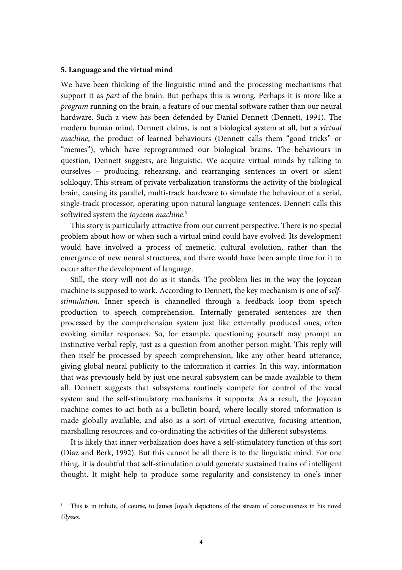#### **5. Language and the virtual mind**

 $\overline{a}$ 

We have been thinking of the linguistic mind and the processing mechanisms that support it as *part* of the brain. But perhaps this is wrong. Perhaps it is more like a program running on the brain, a feature of our mental software rather than our neural hardware. Such a view has been defended by Daniel Dennett (Dennett, 1991). The modern human mind, Dennett claims, is not a biological system at all, but a virtual machine, the product of learned behaviours (Dennett calls them "good tricks" or "memes"), which have reprogrammed our biological brains. The behaviours in question, Dennett suggests, are linguistic. We acquire virtual minds by talking to ourselves – producing, rehearsing, and rearranging sentences in overt or silent soliloquy. This stream of private verbalization transforms the activity of the biological brain, causing its parallel, multi-track hardware to simulate the behaviour of a serial, single-track processor, operating upon natural language sentences. Dennett calls this softwired system the Joycean machine.<sup>3</sup>

 This story is particularly attractive from our current perspective. There is no special problem about how or when such a virtual mind could have evolved. Its development would have involved a process of memetic, cultural evolution, rather than the emergence of new neural structures, and there would have been ample time for it to occur after the development of language.

 Still, the story will not do as it stands. The problem lies in the way the Joycean machine is supposed to work. According to Dennett, the key mechanism is one of selfstimulation. Inner speech is channelled through a feedback loop from speech production to speech comprehension. Internally generated sentences are then processed by the comprehension system just like externally produced ones, often evoking similar responses. So, for example, questioning yourself may prompt an instinctive verbal reply, just as a question from another person might. This reply will then itself be processed by speech comprehension, like any other heard utterance, giving global neural publicity to the information it carries. In this way, information that was previously held by just one neural subsystem can be made available to them all. Dennett suggests that subsystems routinely compete for control of the vocal system and the self-stimulatory mechanisms it supports. As a result, the Joycean machine comes to act both as a bulletin board, where locally stored information is made globally available, and also as a sort of virtual executive, focusing attention, marshalling resources, and co-ordinating the activities of the different subsystems.

 It is likely that inner verbalization does have a self-stimulatory function of this sort (Diaz and Berk, 1992). But this cannot be all there is to the linguistic mind. For one thing, it is doubtful that self-stimulation could generate sustained trains of intelligent thought. It might help to produce some regularity and consistency in one's inner

<sup>&</sup>lt;sup>3</sup> This is in tribute, of course, to James Joyce's depictions of the stream of consciousness in his novel Ulysses.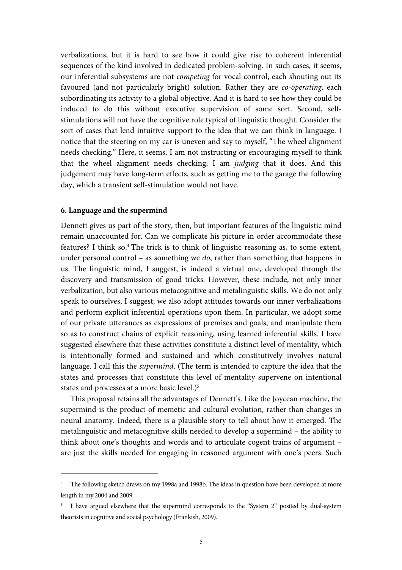verbalizations, but it is hard to see how it could give rise to coherent inferential sequences of the kind involved in dedicated problem-solving. In such cases, it seems, our inferential subsystems are not competing for vocal control, each shouting out its favoured (and not particularly bright) solution. Rather they are co-operating, each subordinating its activity to a global objective. And it is hard to see how they could be induced to do this without executive supervision of some sort. Second, selfstimulations will not have the cognitive role typical of linguistic thought. Consider the sort of cases that lend intuitive support to the idea that we can think in language. I notice that the steering on my car is uneven and say to myself, "The wheel alignment needs checking." Here, it seems, I am not instructing or encouraging myself to think that the wheel alignment needs checking; I am judging that it does. And this judgement may have long-term effects, such as getting me to the garage the following day, which a transient self-stimulation would not have.

## **6. Language and the supermind**

-

Dennett gives us part of the story, then, but important features of the linguistic mind remain unaccounted for. Can we complicate his picture in order accommodate these features? I think so.<sup>4</sup> The trick is to think of linguistic reasoning as, to some extent, under personal control – as something we do, rather than something that happens in us. The linguistic mind, I suggest, is indeed a virtual one, developed through the discovery and transmission of good tricks. However, these include, not only inner verbalization, but also various metacognitive and metalinguistic skills. We do not only speak to ourselves, I suggest; we also adopt attitudes towards our inner verbalizations and perform explicit inferential operations upon them. In particular, we adopt some of our private utterances as expressions of premises and goals, and manipulate them so as to construct chains of explicit reasoning, using learned inferential skills. I have suggested elsewhere that these activities constitute a distinct level of mentality, which is intentionally formed and sustained and which constitutively involves natural language. I call this the supermind. (The term is intended to capture the idea that the states and processes that constitute this level of mentality supervene on intentional states and processes at a more basic level.)<sup>5</sup>

 This proposal retains all the advantages of Dennett's. Like the Joycean machine, the supermind is the product of memetic and cultural evolution, rather than changes in neural anatomy. Indeed, there is a plausible story to tell about how it emerged. The metalinguistic and metacognitive skills needed to develop a supermind – the ability to think about one's thoughts and words and to articulate cogent trains of argument – are just the skills needed for engaging in reasoned argument with one's peers. Such

<sup>4</sup> The following sketch draws on my 1998a and 1998b. The ideas in question have been developed at more length in my 2004 and 2009.

<sup>&</sup>lt;sup>5</sup> I have argued elsewhere that the supermind corresponds to the "System 2" posited by dual-system theorists in cognitive and social psychology (Frankish, 2009).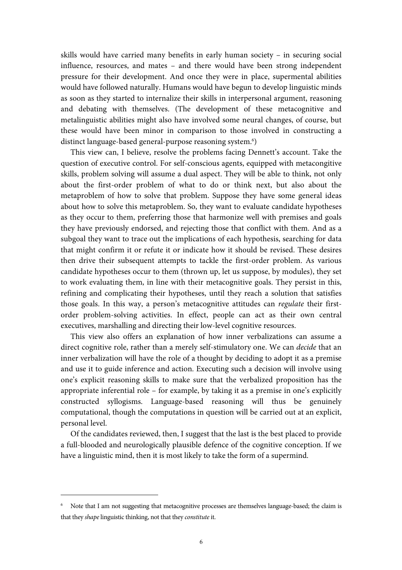skills would have carried many benefits in early human society – in securing social influence, resources, and mates – and there would have been strong independent pressure for their development. And once they were in place, supermental abilities would have followed naturally. Humans would have begun to develop linguistic minds as soon as they started to internalize their skills in interpersonal argument, reasoning and debating with themselves. (The development of these metacognitive and metalinguistic abilities might also have involved some neural changes, of course, but these would have been minor in comparison to those involved in constructing a distinct language-based general-purpose reasoning system.<sup>6</sup>)

 This view can, I believe, resolve the problems facing Dennett's account. Take the question of executive control. For self-conscious agents, equipped with metacongitive skills, problem solving will assume a dual aspect. They will be able to think, not only about the first-order problem of what to do or think next, but also about the metaproblem of how to solve that problem. Suppose they have some general ideas about how to solve this metaproblem. So, they want to evaluate candidate hypotheses as they occur to them, preferring those that harmonize well with premises and goals they have previously endorsed, and rejecting those that conflict with them. And as a subgoal they want to trace out the implications of each hypothesis, searching for data that might confirm it or refute it or indicate how it should be revised. These desires then drive their subsequent attempts to tackle the first-order problem. As various candidate hypotheses occur to them (thrown up, let us suppose, by modules), they set to work evaluating them, in line with their metacognitive goals. They persist in this, refining and complicating their hypotheses, until they reach a solution that satisfies those goals. In this way, a person's metacognitive attitudes can regulate their firstorder problem-solving activities. In effect, people can act as their own central executives, marshalling and directing their low-level cognitive resources.

 This view also offers an explanation of how inner verbalizations can assume a direct cognitive role, rather than a merely self-stimulatory one. We can decide that an inner verbalization will have the role of a thought by deciding to adopt it as a premise and use it to guide inference and action. Executing such a decision will involve using one's explicit reasoning skills to make sure that the verbalized proposition has the appropriate inferential role – for example, by taking it as a premise in one's explicitly constructed syllogisms. Language-based reasoning will thus be genuinely computational, though the computations in question will be carried out at an explicit, personal level.

 Of the candidates reviewed, then, I suggest that the last is the best placed to provide a full-blooded and neurologically plausible defence of the cognitive conception. If we have a linguistic mind, then it is most likely to take the form of a supermind.

 $\overline{a}$ 

<sup>&</sup>lt;sup>6</sup> Note that I am not suggesting that metacognitive processes are themselves language-based; the claim is that they shape linguistic thinking, not that they constitute it.